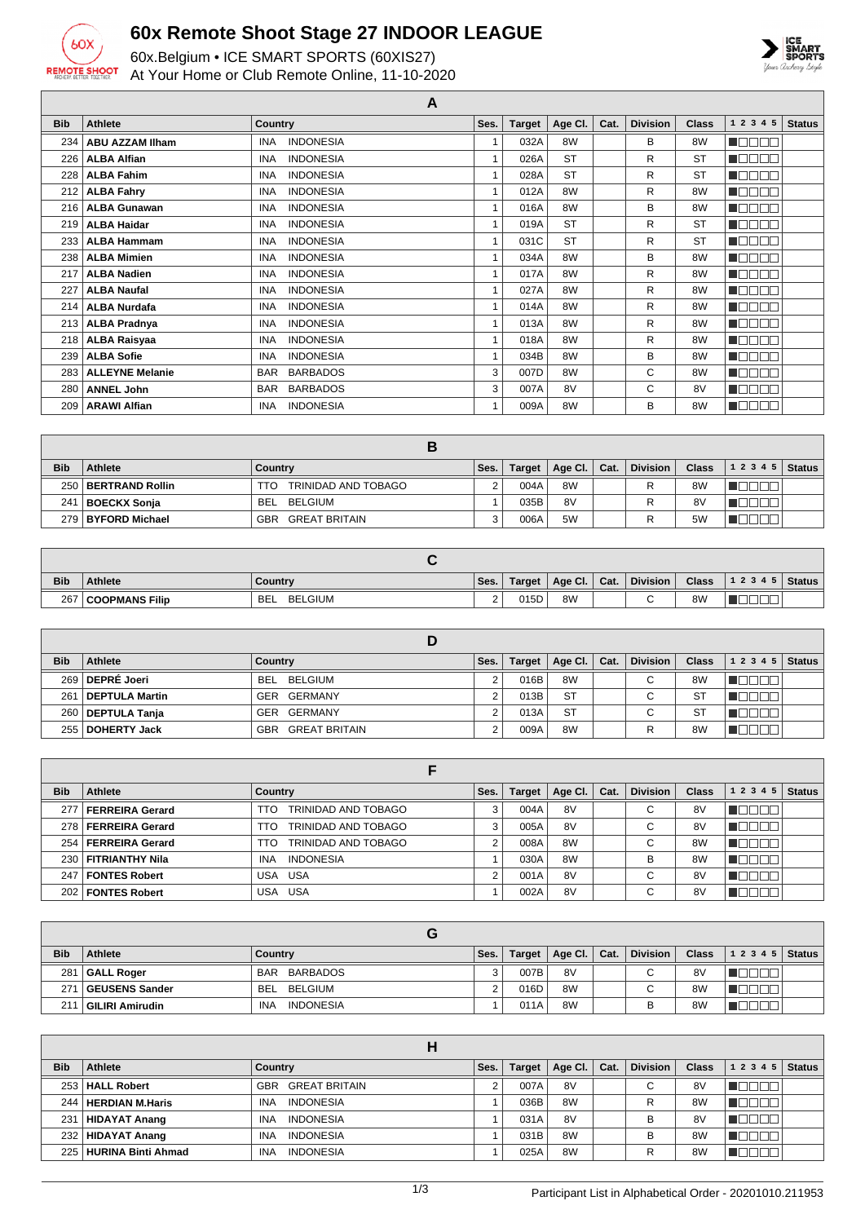

## **60x Remote Shoot Stage 27 INDOOR LEAGUE**

60x.Belgium • ICE SMART SPORTS (60XIS27) At Your Home or Club Remote Online, 11-10-2020



**A**

| <b>Bib</b> | <b>Athlete</b>         | Country                        | Ses. | <b>Target</b> | Age Cl.   | Cat. | <b>Division</b> | <b>Class</b> | 1 2 3 4 5                      | <b>Status</b> |
|------------|------------------------|--------------------------------|------|---------------|-----------|------|-----------------|--------------|--------------------------------|---------------|
| 234        | <b>ABU AZZAM IIham</b> | <b>INDONESIA</b><br><b>INA</b> |      | 032A          | 8W        |      | В               | 8W           | NO BEL                         |               |
| 226        | <b>ALBA Alfian</b>     | <b>INDONESIA</b><br><b>INA</b> |      | 026A          | <b>ST</b> |      | R               | <b>ST</b>    | N E E E E                      |               |
| 228        | <b>ALBA Fahim</b>      | <b>INDONESIA</b><br><b>INA</b> |      | 028A          | <b>ST</b> |      | R               | <b>ST</b>    | N O O O O                      |               |
| 212        | <b>ALBA Fahry</b>      | <b>INDONESIA</b><br><b>INA</b> |      | 012A          | 8W        |      | R               | 8W           | TOOOO                          |               |
| 216        | <b>ALBA Gunawan</b>    | <b>INDONESIA</b><br><b>INA</b> |      | 016A          | 8W        |      | B               | 8W           | NG 800                         |               |
| 219        | <b>ALBA Haidar</b>     | <b>INDONESIA</b><br><b>INA</b> |      | 019A          | <b>ST</b> |      | R               | <b>ST</b>    | 100 O O                        |               |
| 233        | <b>ALBA Hammam</b>     | <b>INDONESIA</b><br><b>INA</b> |      | 031C          | <b>ST</b> |      | R               | <b>ST</b>    | 700<br>N EN                    |               |
| 238        | <b>ALBA Mimien</b>     | <b>INA</b><br><b>INDONESIA</b> |      | 034A          | 8W        |      | B               | 8W           | ─────<br>$\Box\Box$            |               |
| 217        | <b>ALBA Nadien</b>     | <b>INDONESIA</b><br><b>INA</b> |      | 017A          | 8W        |      | R               | 8W           | ┱╓<br>$\Box$                   |               |
| 227        | <b>ALBA Naufal</b>     | <b>INDONESIA</b><br><b>INA</b> |      | 027A          | 8W        |      | R               | 8W           | 300<br>TOI                     |               |
| 214        | <b>ALBA Nurdafa</b>    | <b>INDONESIA</b><br><b>INA</b> |      | 014A          | 8W        |      | R               | 8W           | 700<br>$\blacksquare\Box$      |               |
| 213        | <b>ALBA Pradnya</b>    | <b>INA</b><br><b>INDONESIA</b> |      | 013A          | 8W        |      | R               | 8W           | חרו<br>$\blacksquare\Box$      |               |
| 218        | <b>ALBA Raisyaa</b>    | <b>INDONESIA</b><br><b>INA</b> |      | 018A          | 8W        |      | R               | 8W           | N E E E E                      |               |
| 239        | <b>ALBA Sofie</b>      | <b>INDONESIA</b><br><b>INA</b> |      | 034B          | 8W        |      | В               | 8W           | 1000a                          |               |
| 283        | <b>ALLEYNE Melanie</b> | <b>BARBADOS</b><br><b>BAR</b>  | 3    | 007D          | 8W        |      | C               | 8W           | T EI EI EI                     |               |
| 280        | <b>ANNEL John</b>      | <b>BARBADOS</b><br><b>BAR</b>  | 3    | 007A          | 8V        |      | С               | 8V           | חרר<br>$\blacksquare\Box$      |               |
| 209        | <b>ARAWI Alfian</b>    | <b>INDONESIA</b><br><b>INA</b> |      | 009A          | 8W        |      | В               | 8W           | $\Box$ $\Box$<br>$\Box$ $\Box$ |               |

| <b>Bib</b> | Athlete              | Country                     | Ses. | <b>Target</b> | Age Cl. $\vert$ Cat. | <b>Division</b> | <b>Class</b>   | 12345       | <b>Status</b> |
|------------|----------------------|-----------------------------|------|---------------|----------------------|-----------------|----------------|-------------|---------------|
|            | 250 BERTRAND Rollin  | TRINIDAD AND TOBAGO<br>TTO. |      | 004A          | 8W                   | R               | 8 <sub>W</sub> | - 11 - 11 - |               |
| 241        | BOECKX Sonja         | BELGIUM<br>BEL              |      | 035B          | 8V                   | R               | 8V             |             |               |
|            | 279   BYFORD Michael | <b>GREAT BRITAIN</b><br>GBR |      | 006A          | 5W                   | R               | 5 <sub>W</sub> |             |               |

| <b>Bib</b> | <b>Athlete</b>        | Country                      | Ses. | Target | Age Cl. | Cat. | <b>Division</b> | <b>Class</b>   | 12345 | <b>Status</b> |
|------------|-----------------------|------------------------------|------|--------|---------|------|-----------------|----------------|-------|---------------|
| 267        | <b>COOPMANS Filip</b> | <b>BELGIUM</b><br><b>BEL</b> | -    | 015D   | 8W      |      | ີ               | 8 <sub>W</sub> |       |               |

| <b>Bib</b> | <b>Athlete</b>      | Country              | Ses. | Target | Age Cl.   Cat. | <b>Division</b> | <b>Class</b>   | 1 2 3 4 5 | <b>Status</b> |
|------------|---------------------|----------------------|------|--------|----------------|-----------------|----------------|-----------|---------------|
|            | 269 DEPRÉ Joeri     | BEL BELGIUM          |      | 016B   | 8W             | С               | 8 <sub>W</sub> |           |               |
| 261        | DEPTULA Martin      | GER GERMANY          |      | 013B   | <b>ST</b>      | С               | -ST            |           |               |
|            | 260   DEPTULA Tanja | GER GERMANY          |      | 013A   | <b>ST</b>      | $\sim$<br>U     | <b>ST</b>      |           |               |
|            | 255   DOHERTY Jack  | GREAT BRITAIN<br>GBR |      | 009A   | 8W             |                 | 8 <sub>W</sub> |           |               |

| <b>Bib</b> | Athlete                | Country                        | Ses. | <b>Target</b> | Age Cl.        | Cat. | <b>Division</b> | <b>Class</b>   | <b>Status</b><br>1 2 3 4 5 |
|------------|------------------------|--------------------------------|------|---------------|----------------|------|-----------------|----------------|----------------------------|
| 277        | <b>FERREIRA Gerard</b> | TRINIDAD AND TOBAGO<br>TTO     |      | 004A          | 8V             |      | $\sim$<br>◡     | 8V             |                            |
|            | 278   FERREIRA Gerard  | TRINIDAD AND TOBAGO<br>TTO.    | 3    | 005A          | 8V             |      | ⌒<br>◡          | 8V             |                            |
|            | 254   FERREIRA Gerard  | TRINIDAD AND TOBAGO<br>TTO     |      | 008A          | 8 <sub>W</sub> |      | $\sim$<br>ື     | 8 <sub>W</sub> |                            |
|            | 230   FITRIANTHY Nila  | <b>INA</b><br><b>INDONESIA</b> |      | 030A          | 8 <sub>W</sub> |      | B               | 8 <sub>W</sub> |                            |
|            | 247   FONTES Robert    | USA USA                        | C    | 001A          | 8V             |      | $\sim$<br>U     | 8V             |                            |
|            | 202   FONTES Robert    | USA USA                        |      | 002A          | 8V             |      | $\sim$<br>U     | 8V             |                            |

| <b>Bib</b> | <b>Athlete</b>  | Country                        | Ses. | Target | Age Cl. | Cat. | <b>Division</b>           | <b>Class</b>   | 1 2 3 4 5 | <b>Status</b> |
|------------|-----------------|--------------------------------|------|--------|---------|------|---------------------------|----------------|-----------|---------------|
| 281        | GALL Roger      | BAR BARBADOS                   |      | 007B   | 8V      |      | С                         | 8V             |           |               |
| 27'        | GEUSENS Sander  | BEL BELGIUM                    |      | 016D   | 8W      |      | $\sim$<br>$\mathbf \cdot$ | 8W             |           |               |
| 211        | GILIRI Amirudin | <b>INDONESIA</b><br><b>INA</b> |      | 011A   | 8W      |      |                           | 8 <sub>W</sub> |           |               |

| <b>Bib</b> | Athlete                | Country                        | Ses. | Target | Age Cl.        | Cat. | <b>Division</b> | <b>Class</b>   | 1 2 3 4 5 | <b>Status</b> |
|------------|------------------------|--------------------------------|------|--------|----------------|------|-----------------|----------------|-----------|---------------|
|            | 253 HALL Robert        | <b>GBR GREAT BRITAIN</b>       |      | 007A   | 8V             |      | С               | 8V             |           |               |
|            | 244   HERDIAN M.Haris  | <b>INDONESIA</b><br><b>INA</b> |      | 036B   | 8W             |      | R               | 8 <sub>W</sub> |           |               |
| 231        | HIDAYAT Anang          | <b>INDONESIA</b><br>INA        |      | 031A   | 8V             |      | в               | 8V             |           |               |
|            | 232 HIDAYAT Anang      | <b>INDONESIA</b><br><b>INA</b> |      | 031B   | 8 <sub>W</sub> |      | B               | 8W             |           |               |
|            | 225 HURINA Binti Ahmad | <b>INDONESIA</b><br><b>INA</b> |      | 025A   | 8W             |      | R               | 8W             |           |               |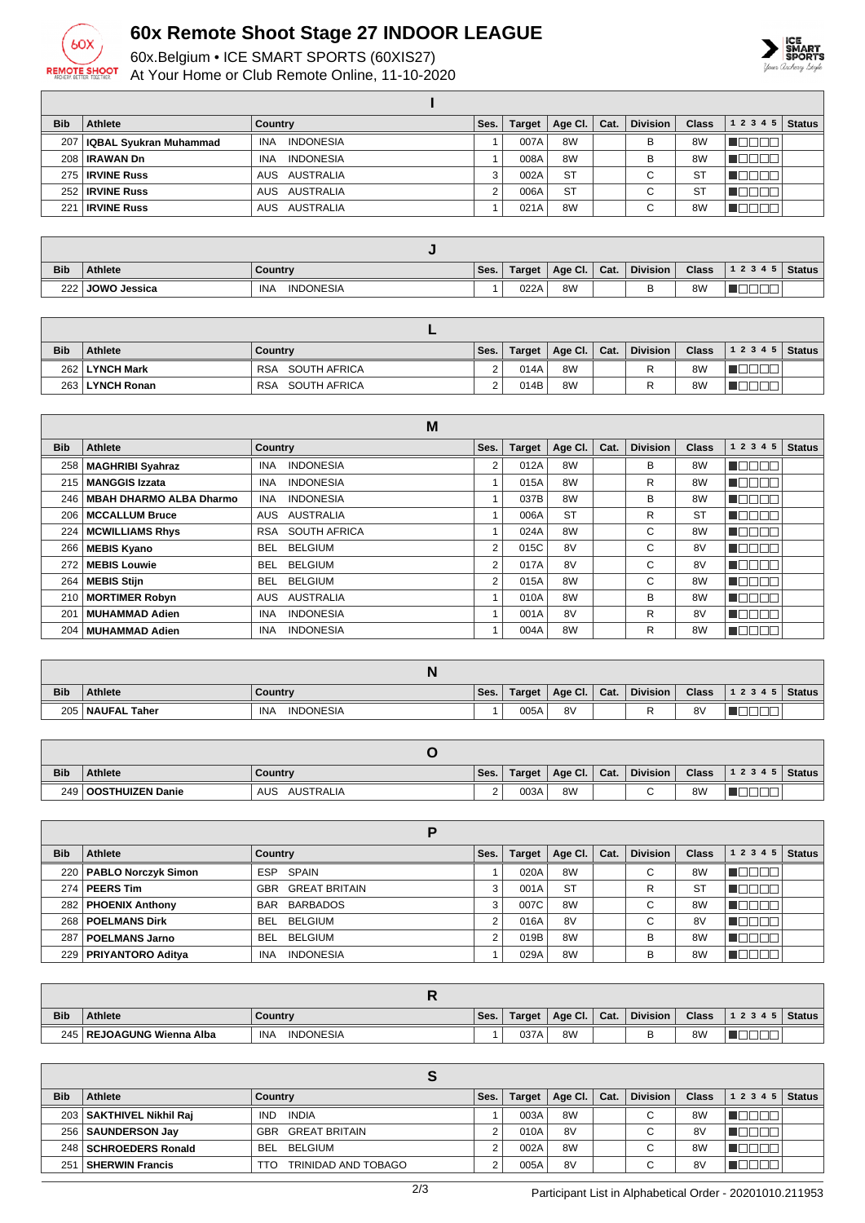

## **60x Remote Shoot Stage 27 INDOOR LEAGUE**

60x.Belgium • ICE SMART SPORTS (60XIS27) At Your Home or Club Remote Online, 11-10-2020



٦

| <b>Bib</b> | Athlete                      | Country                        | Ses. | <b>Target</b> | Age Cl.   | Cat. | <b>Division</b> | <b>Class</b> | 1 2 3 4 5 | <b>Status</b> |
|------------|------------------------------|--------------------------------|------|---------------|-----------|------|-----------------|--------------|-----------|---------------|
|            | 207   IQBAL Syukran Muhammad | <b>INDONESIA</b><br>INA        |      | 007A          | 8W        |      | B               | 8W           | 300C      |               |
|            | 208 RAWAN Dn                 | <b>INDONESIA</b><br><b>INA</b> |      | 008A          | 8W        |      | B               | 8W           | ┱         |               |
|            | 275   IRVINE Russ            | AUS AUSTRALIA                  | 3    | 002A          | <b>ST</b> |      | $\sim$<br>ັ     | <b>ST</b>    | ┱         |               |
|            | 252 RVINE Russ               | AUSTRALIA<br>AUS               | C    | 006A          | <b>ST</b> |      | $\sim$<br>◡     | ST           | Ш.        |               |
| 221        | <b>IRVINE Russ</b>           | AUS AUSTRALIA                  |      | 021A          | 8W        |      | $\sim$<br>◡     | 8W           |           |               |

| <b>Bib</b> | <b>Athlete</b>      | Country                 | Ses. | Target | Age Cl. | Cat. | <b>Division</b> | <b>Class</b>   | 12345 | Status |
|------------|---------------------|-------------------------|------|--------|---------|------|-----------------|----------------|-------|--------|
| 222 l      | <b>JOWO Jessica</b> | <b>INDONESIA</b><br>INA |      | 022A   | 8W      |      | ◡               | 8 <sub>W</sub> |       |        |

| <b>Bib</b> | Athlete         | Country                    | Ses. | Target | Age Cl. $ $ | Cat. | <b>Division</b> | <b>Class</b>   | $12345$ Status |  |
|------------|-----------------|----------------------------|------|--------|-------------|------|-----------------|----------------|----------------|--|
|            | 262 LYNCH Mark  | SOUTH AFRICA<br><b>RSA</b> |      | 014A   | 8W          |      |                 | 8 <sub>W</sub> |                |  |
|            | 263 LYNCH Ronan | SOUTH AFRICA<br>RSA        |      | 014B   | 8W          |      |                 | 8 <sub>W</sub> |                |  |

|            | M                              |                                   |                |               |           |      |                 |                |           |               |  |  |
|------------|--------------------------------|-----------------------------------|----------------|---------------|-----------|------|-----------------|----------------|-----------|---------------|--|--|
| <b>Bib</b> | Athlete                        | <b>Country</b>                    | Ses.           | <b>Target</b> | Age Cl.   | Cat. | <b>Division</b> | <b>Class</b>   | 1 2 3 4 5 | <b>Status</b> |  |  |
| 258        | MAGHRIBI Syahraz               | <b>INDONESIA</b><br><b>INA</b>    | 2              | 012A          | 8W        |      | В               | 8 <sub>W</sub> |           |               |  |  |
| 215        | MANGGIS Izzata                 | <b>INDONESIA</b><br><b>INA</b>    |                | 015A          | 8W        |      | R               | 8 <sub>W</sub> |           |               |  |  |
| 246        | <b>MBAH DHARMO ALBA Dharmo</b> | <b>INDONESIA</b><br><b>INA</b>    |                | 037B          | 8W        |      | В               | 8 <sub>W</sub> |           |               |  |  |
| 206        | MCCALLUM Bruce                 | AUSTRALIA<br>AUS                  |                | 006A          | <b>ST</b> |      | R               | <b>ST</b>      | TOE       |               |  |  |
| 224        | <b>MCWILLIAMS Rhys</b>         | <b>SOUTH AFRICA</b><br><b>RSA</b> |                | 024A          | 8W        |      | С               | 8 <sub>W</sub> | ┱         |               |  |  |
| 266        | <b>MEBIS Kyano</b>             | <b>BELGIUM</b><br><b>BEL</b>      | 2              | 015C          | 8V        |      | C               | 8V             | ┐Г        |               |  |  |
| 272        | <b>MEBIS Louwie</b>            | <b>BELGIUM</b><br><b>BEL</b>      | $\overline{2}$ | 017A          | 8V        |      | С               | 8V             |           |               |  |  |
| 264        | <b>MEBIS Stijn</b>             | <b>BELGIUM</b><br>BEL.            | $\overline{2}$ | 015A          | 8W        |      | C               | 8 <sub>W</sub> | חרו       |               |  |  |
| 210        | <b>MORTIMER Robyn</b>          | <b>AUSTRALIA</b><br>AUS           |                | 010A          | 8W        |      | B               | 8 <sub>W</sub> | ──        |               |  |  |
| 201        | MUHAMMAD Adien                 | <b>INDONESIA</b><br><b>INA</b>    |                | 001A          | 8V        |      | R               | 8V             | H.        |               |  |  |
| 204        | MUHAMMAD Adien                 | <b>INDONESIA</b><br><b>INA</b>    |                | 004A          | 8W        |      | R               | 8W             | 30 C      |               |  |  |

|            |                    | IN                             |      |        |         |      |                 |              |       |        |
|------------|--------------------|--------------------------------|------|--------|---------|------|-----------------|--------------|-------|--------|
| <b>Bib</b> | <b>Athlete</b>     | Country                        | Ses. | Target | Age Cl. | Cat. | <b>Division</b> | <b>Class</b> | 12345 | Status |
|            | 205   NAUFAL Taher | <b>INA</b><br><b>INDONESIA</b> |      | 005A   | 8V      |      |                 | 8V           |       |        |

| <b>Bib</b> | <b>Athlete</b>         | <b>Country</b>          | Ses.     | Target | Age Cl. | Cat. | <b>Division</b> | <b>Class</b> | 12345 | Status |
|------------|------------------------|-------------------------|----------|--------|---------|------|-----------------|--------------|-------|--------|
|            | 249   OOSTHUIZEN Danie | AUS<br><b>AUSTRALIA</b> | <u>_</u> | 003A   | 8W      |      |                 | 8W           |       |        |

|            | p                         |                                |      |               |                |      |                 |              |           |               |  |
|------------|---------------------------|--------------------------------|------|---------------|----------------|------|-----------------|--------------|-----------|---------------|--|
| <b>Bib</b> | Athlete                   | Country                        | Ses. | <b>Target</b> | Age CI.        | Cat. | <b>Division</b> | <b>Class</b> | 1 2 3 4 5 | <b>Status</b> |  |
|            | 220   PABLO Norczyk Simon | ESP SPAIN                      |      | 020A          | 8 <sub>W</sub> |      | ⌒<br>◡          | 8W           |           |               |  |
|            | 274   PEERS Tim           | <b>GBR GREAT BRITAIN</b>       | 3    | 001A          | <b>ST</b>      |      | R               | <b>ST</b>    |           |               |  |
|            | 282   PHOENIX Anthony     | BAR BARBADOS                   | 3    | 007C          | 8 <sub>W</sub> |      | $\sim$<br>U     | 8W           |           |               |  |
|            | 268   POELMANS Dirk       | BEL BELGIUM                    |      | 016A          | 8V             |      | С               | 8V           |           |               |  |
|            | 287   POELMANS Jarno      | BEL BELGIUM                    | 2    | 019B          | 8W             |      | B               | 8W           |           |               |  |
|            | 229   PRIYANTORO Aditya   | <b>INDONESIA</b><br><b>INA</b> |      | 029A          | 8W             |      | B               | 8W           |           |               |  |

|            | . .                         |                                |      |        |                 |        |                 |                |       |        |
|------------|-----------------------------|--------------------------------|------|--------|-----------------|--------|-----------------|----------------|-------|--------|
| <b>Bib</b> | Athlete                     | <b>Country</b>                 | Ses. | Target | Age Cl. $\vert$ | ∣ Cat. | <b>Division</b> | <b>Class</b>   | 12345 | Status |
|            | 245   REJOAGUNG Wienna Alba | <b>INA</b><br><b>INDONESIA</b> |      | 037A   | 8W              |        |                 | 8 <sub>W</sub> |       |        |

| <b>Bib</b> | <b>Athlete</b>             | Country                     | Ses. | Target | Age Cl.   Cat. |  | <b>Division</b>               | <b>Class</b> | 1 2 3 4 5 | <b>Status</b> |  |
|------------|----------------------------|-----------------------------|------|--------|----------------|--|-------------------------------|--------------|-----------|---------------|--|
|            | 203   SAKTHIVEL Nikhil Raj | <b>IND</b><br><b>INDIA</b>  |      | 003A   | 8W             |  | $\sim$<br>◡                   | 8W           |           |               |  |
|            | 256   SAUNDERSON Jay       | <b>GREAT BRITAIN</b><br>GBR |      | 010A   | 8V             |  | $\sim$<br>U                   | 8V           |           |               |  |
|            | 248   SCHROEDERS Ronald    | BEL BELGIUM                 |      | 002A   | 8 <sub>W</sub> |  | ◡                             | 8W           |           |               |  |
| 251        | <b>SHERWIN Francis</b>     | TRINIDAD AND TOBAGO<br>TTO  |      | 005A   | 8V             |  | $\overline{\phantom{0}}$<br>◡ | 8V           |           |               |  |